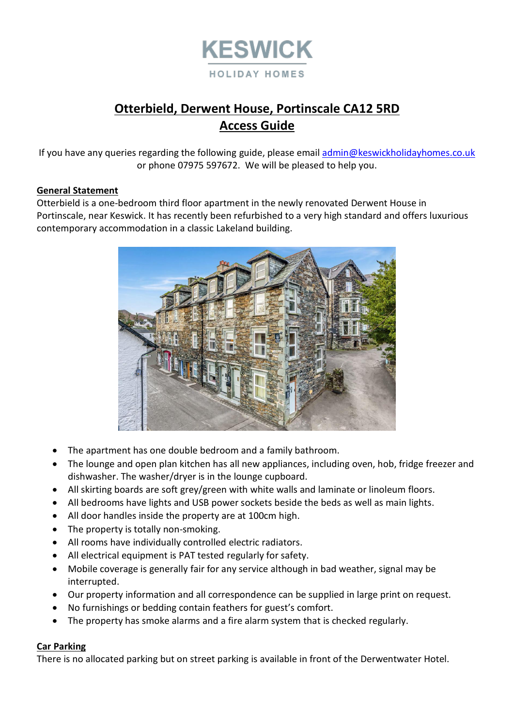

# **Otterbield, Derwent House, Portinscale CA12 5RD Access Guide**

If you have any queries regarding the following guide, please email [admin@keswickholidayhomes.co.uk](mailto:admin@keswickholidayhomes.co.uk) or phone 07975 597672. We will be pleased to help you.

#### **General Statement**

Otterbield is a one-bedroom third floor apartment in the newly renovated Derwent House in Portinscale, near Keswick. It has recently been refurbished to a very high standard and offers luxurious contemporary accommodation in a classic Lakeland building.



- The apartment has one double bedroom and a family bathroom.
- The lounge and open plan kitchen has all new appliances, including oven, hob, fridge freezer and dishwasher. The washer/dryer is in the lounge cupboard.
- All skirting boards are soft grey/green with white walls and laminate or linoleum floors.
- All bedrooms have lights and USB power sockets beside the beds as well as main lights.
- All door handles inside the property are at 100cm high.
- The property is totally non-smoking.
- All rooms have individually controlled electric radiators.
- All electrical equipment is PAT tested regularly for safety.
- Mobile coverage is generally fair for any service although in bad weather, signal may be interrupted.
- Our property information and all correspondence can be supplied in large print on request.
- No furnishings or bedding contain feathers for guest's comfort.
- The property has smoke alarms and a fire alarm system that is checked regularly.

#### **Car Parking**

There is no allocated parking but on street parking is available in front of the Derwentwater Hotel.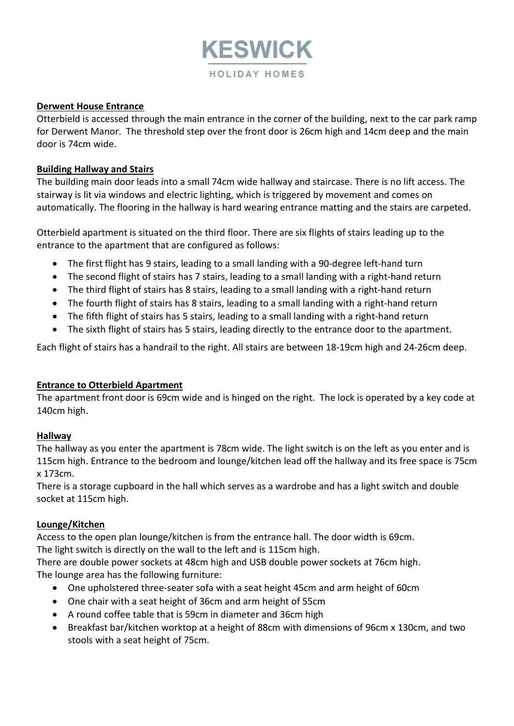

#### **Derwent House Entrance**

Otterbield is accessed through the main entrance in the corner of the building, next to the car park ramp for Derwent Manor. The threshold step over the front door is 26cm high and 14cm deep and the main door is 74cm wide.

#### **Building Hallway and Stairs**

The building main door leads into a small 74cm wide hallway and staircase. There is no lift access. The stairway is lit via windows and electric lighting, which is triggered by movement and comes on automatically. The flooring in the hallway is hard wearing entrance matting and the stairs are carpeted.

Otterbield apartment is situated on the third floor. There are six flights of stairs leading up to the entrance to the apartment that are configured as follows:

- The first flight has 9 stairs, leading to a small landing with a 90-degree left-hand turn
- The second flight of stairs has 7 stairs, leading to a small landing with a right-hand return
- The third flight of stairs has 8 stairs, leading to a small landing with a right-hand return
- The fourth flight of stairs has 8 stairs, leading to a small landing with a right-hand return
- The fifth flight of stairs has 5 stairs, leading to a small landing with a right-hand return
- The sixth flight of stairs has 5 stairs, leading directly to the entrance door to the apartment.

Each flight of stairs has a handrail to the right. All stairs are between 18-19cm high and 24-26cm deep.

## **Entrance to Otterbield Apartment**

The apartment front door is 69cm wide and is hinged on the right. The lock is operated by a key code at 140cm high.

#### **Hallway**

The hallway as you enter the apartment is 78cm wide. The light switch is on the left as you enter and is 115cm high. Entrance to the bedroom and lounge/kitchen lead off the hallway and its free space is 75cm x 173cm.

There is a storage cupboard in the hall which serves as a wardrobe and has a light switch and double socket at 115cm high.

#### **Lounge/Kitchen**

Access to the open plan lounge/kitchen is from the entrance hall. The door width is 69cm. The light switch is directly on the wall to the left and is 115cm high.

There are double power sockets at 48cm high and USB double power sockets at 76cm high. The lounge area has the following furniture:

- One upholstered three-seater sofa with a seat height 45cm and arm height of 60cm
- One chair with a seat height of 36cm and arm height of 55cm
- A round coffee table that is 59cm in diameter and 36cm high
- Breakfast bar/kitchen worktop at a height of 88cm with dimensions of 96cm x 130cm, and two stools with a seat height of 75cm.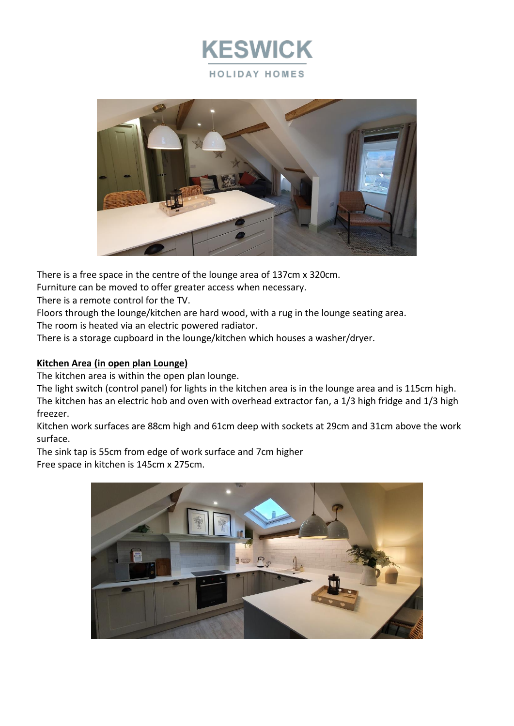



There is a free space in the centre of the lounge area of 137cm x 320cm.

Furniture can be moved to offer greater access when necessary.

There is a remote control for the TV.

Floors through the lounge/kitchen are hard wood, with a rug in the lounge seating area. The room is heated via an electric powered radiator.

There is a storage cupboard in the lounge/kitchen which houses a washer/dryer.

## **Kitchen Area (in open plan Lounge)**

The kitchen area is within the open plan lounge.

The light switch (control panel) for lights in the kitchen area is in the lounge area and is 115cm high. The kitchen has an electric hob and oven with overhead extractor fan, a 1/3 high fridge and 1/3 high freezer.

Kitchen work surfaces are 88cm high and 61cm deep with sockets at 29cm and 31cm above the work surface.

The sink tap is 55cm from edge of work surface and 7cm higher Free space in kitchen is 145cm x 275cm.